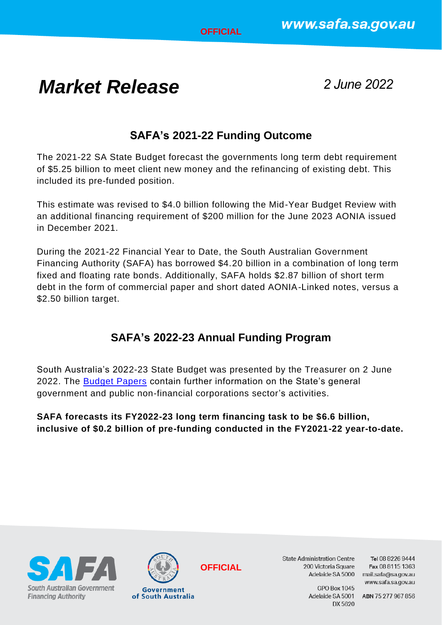# *Market Release 2 June 2022*

### **SAFA's 2021-22 Funding Outcome**

The 2021-22 SA State Budget forecast the governments long term debt requirement of \$5.25 billion to meet client new money and the refinancing of existing debt. This included its pre-funded position.

This estimate was revised to \$4.0 billion following the Mid-Year Budget Review with an additional financing requirement of \$200 million for the June 2023 AONIA issued in December 2021.

During the 2021-22 Financial Year to Date, the South Australian Government Financing Authority (SAFA) has borrowed \$4.20 billion in a combination of long term fixed and floating rate bonds. Additionally, SAFA holds \$2.87 billion of short term debt in the form of commercial paper and short dated AONIA-Linked notes, versus a \$2.50 billion target.

### **SAFA's 2022-23 Annual Funding Program**

South Australia's 2022-23 State Budget was presented by the Treasurer on 2 June 2022. The [Budget Papers](https://www.statebudget.sa.gov.au/) contain further information on the State's general government and public non-financial corporations sector's activities.

**SAFA forecasts its FY2022-23 long term financing task to be \$6.6 billion, inclusive of \$0.2 billion of pre-funding conducted in the FY2021-22 year-to-date.**





**OFFICIAL**

**State Administration Centre** 200 Victoria Square

Tel 08 8226 9444 Fax 08 8115 1363 Adelaide SA 5000 mail.safa@sa.gov.au www.safa.sa.gov.au

**GPO Box 1045** DX 5620

Adelaide SA 5001 ABN 75 277 967 856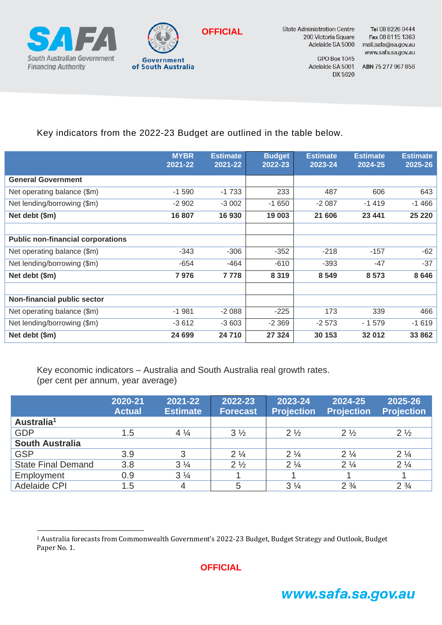



**State Administration Centre** 200 Victoria Square

Tel 08 8226 9444 Fax 08 8115 1363 Adelaide SA 5000 mail.safa@sa.gov.au www.safa.sa.gov.au

**GPO Box 1045** Adelaide SA 5001 DX 5620

ABN 75 277 967 856

#### Key indicators from the 2022-23 Budget are outlined in the table below.

|                                          | <b>MYBR</b><br>2021-22 | <b>Estimate</b><br>2021-22 | <b>Budget</b><br>2022-23 | <b>Estimate</b><br>2023-24 | <b>Estimate</b><br>2024-25 | <b>Estimate</b><br>2025-26 |
|------------------------------------------|------------------------|----------------------------|--------------------------|----------------------------|----------------------------|----------------------------|
| <b>General Government</b>                |                        |                            |                          |                            |                            |                            |
| Net operating balance (\$m)              | $-1590$                | $-1733$                    | 233                      | 487                        | 606                        | 643                        |
| Net lending/borrowing (\$m)              | $-2902$                | $-3002$                    | $-1650$                  | $-2087$                    | $-1419$                    | $-1466$                    |
| Net debt (\$m)                           | 16 807                 | 16 930                     | 19 003                   | 21 606                     | 23 441                     | 25 2 20                    |
|                                          |                        |                            |                          |                            |                            |                            |
| <b>Public non-financial corporations</b> |                        |                            |                          |                            |                            |                            |
| Net operating balance (\$m)              | $-343$                 | $-306$                     | $-352$                   | $-218$                     | $-157$                     | $-62$                      |
| Net lending/borrowing (\$m)              | $-654$                 | $-464$                     | $-610$                   | $-393$                     | -47                        | $-37$                      |
| Net debt (\$m)                           | 7976                   | 7778                       | 8 3 1 9                  | 8 5 4 9                    | 8573                       | 8646                       |
|                                          |                        |                            |                          |                            |                            |                            |
| Non-financial public sector              |                        |                            |                          |                            |                            |                            |
| Net operating balance (\$m)              | $-1981$                | $-2088$                    | $-225$                   | 173                        | 339                        | 466                        |
| Net lending/borrowing (\$m)              | $-3612$                | $-3603$                    | $-2369$                  | $-2573$                    | $-1579$                    | $-1619$                    |
| Net debt (\$m)                           | 24 699                 | 24 710                     | 27 3 24                  | 30 153                     | 32 012                     | 33 862                     |

Key economic indicators – Australia and South Australia real growth rates. (per cent per annum, year average)

|                           | 2020-21<br><b>Actual</b> | 2021-22<br><b>Estimate</b> | 2022-23<br><b>Forecast</b> | 2023-24<br><b>Projection</b> | 2024-25<br><b>Projection</b> | 2025-26<br><b>Projection</b> |
|---------------------------|--------------------------|----------------------------|----------------------------|------------------------------|------------------------------|------------------------------|
| Australia <sup>1</sup>    |                          |                            |                            |                              |                              |                              |
| <b>GDP</b>                | 1.5                      | $4\frac{1}{4}$             | $3\frac{1}{2}$             | $2\frac{1}{2}$               | $2\frac{1}{2}$               | $2\frac{1}{2}$               |
| <b>South Australia</b>    |                          |                            |                            |                              |                              |                              |
| <b>GSP</b>                | 3.9                      | 3                          | $2\frac{1}{4}$             | $2\frac{1}{4}$               | $2\frac{1}{4}$               | $2\frac{1}{4}$               |
| <b>State Final Demand</b> | 3.8                      | $3\frac{1}{4}$             | $2\frac{1}{2}$             | $2\frac{1}{4}$               | $2\frac{1}{4}$               | $2\frac{1}{4}$               |
| Employment                | 0.9                      | $3\frac{1}{4}$             |                            |                              |                              |                              |
| <b>Adelaide CPI</b>       | 1.5                      | $\overline{4}$             | 5                          | $3\frac{1}{4}$               | $2\frac{3}{4}$               | $2\frac{3}{4}$               |

**OFFICIAL**

# www.safa.sa.gov.au

<sup>1</sup> Australia forecasts from Commonwealth Government's 2022-23 Budget, Budget Strategy and Outlook, Budget Paper No. 1.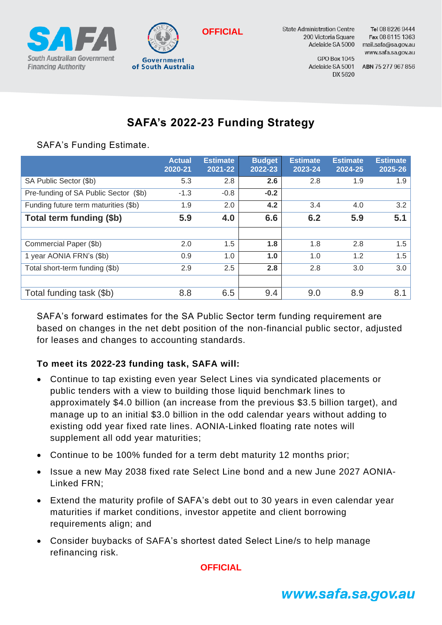



 **OFFICIAL**

**State Administration Centre** 200 Victoria Square

Tel 08 8226 9444 Fax 08 8115 1363 Adelaide SA 5000 mail.safa@sa.gov.au www.safa.sa.gov.au

**GPO Box 1045** Adelaide SA 5001 DX 5620

ABN 75 277 967 856

### **SAFA's 2022-23 Funding Strategy**

#### SAFA's Funding Estimate.

|                                       | <b>Actual</b><br>2020-21 | <b>Estimate</b><br>2021-22 | <b>Budget</b><br>2022-23 | <b>Estimate</b><br>2023-24 | <b>Estimate</b><br>2024-25 | <b>Estimate</b><br>2025-26 |
|---------------------------------------|--------------------------|----------------------------|--------------------------|----------------------------|----------------------------|----------------------------|
| SA Public Sector (\$b)                | 5.3                      | 2.8                        | 2.6                      | 2.8                        | 1.9                        | 1.9                        |
| Pre-funding of SA Public Sector (\$b) | $-1.3$                   | $-0.8$                     | $-0.2$                   |                            |                            |                            |
| Funding future term maturities (\$b)  | 1.9                      | 2.0                        | 4.2                      | 3.4                        | 4.0                        | 3.2                        |
| Total term funding (\$b)              | 5.9                      | 4.0                        | 6.6                      | 6.2                        | 5.9                        | 5.1                        |
|                                       |                          |                            |                          |                            |                            |                            |
| Commercial Paper (\$b)                | 2.0                      | $1.5^{\circ}$              | 1.8                      | 1.8                        | 2.8                        | 1.5                        |
| 1 year AONIA FRN's (\$b)              | 0.9                      | 1.0                        | 1.0                      | 1.0                        | 1.2                        | 1.5                        |
| Total short-term funding (\$b)        | 2.9                      | 2.5                        | 2.8                      | 2.8                        | 3.0                        | 3.0                        |
|                                       |                          |                            |                          |                            |                            |                            |
| Total funding task (\$b)              | 8.8                      | 6.5                        | 9.4                      | 9.0                        | 8.9                        | 8.1                        |

SAFA's forward estimates for the SA Public Sector term funding requirement are based on changes in the net debt position of the non-financial public sector, adjusted for leases and changes to accounting standards.

#### **To meet its 2022-23 funding task, SAFA will:**

- Continue to tap existing even year Select Lines via syndicated placements or public tenders with a view to building those liquid benchmark lines to approximately \$4.0 billion (an increase from the previous \$3.5 billion target), and manage up to an initial \$3.0 billion in the odd calendar years without adding to existing odd year fixed rate lines. AONIA-Linked floating rate notes will supplement all odd year maturities;
- Continue to be 100% funded for a term debt maturity 12 months prior;
- Issue a new May 2038 fixed rate Select Line bond and a new June 2027 AONIA-Linked FRN;
- Extend the maturity profile of SAFA's debt out to 30 years in even calendar year maturities if market conditions, investor appetite and client borrowing requirements align; and
- Consider buybacks of SAFA's shortest dated Select Line/s to help manage refinancing risk.

**OFFICIAL**

# www.safa.sa.gov.au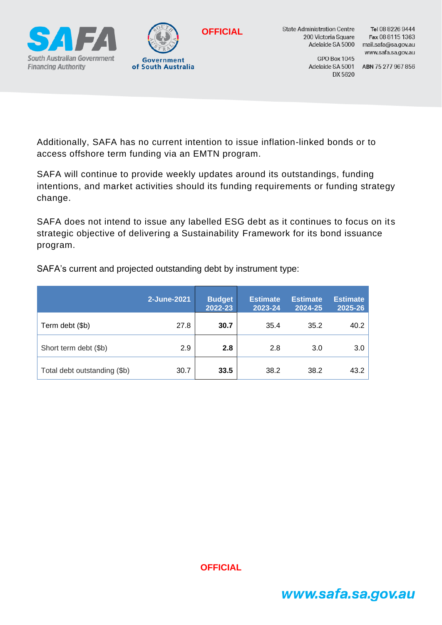



**State Administration Centre** 200 Victoria Square

Tel 08 8226 9444 Fax 08 8115 1363 Adelaide SA 5000 mail.safa@sa.gov.au www.safa.sa.gov.au

**GPO Box 1045** DX 5620

Adelaide SA 5001 ABN 75 277 967 856

Additionally, SAFA has no current intention to issue inflation-linked bonds or to access offshore term funding via an EMTN program.

SAFA will continue to provide weekly updates around its outstandings, funding intentions, and market activities should its funding requirements or funding strategy change.

SAFA does not intend to issue any labelled ESG debt as it continues to focus on its strategic objective of delivering a Sustainability Framework for its bond issuance program.

SAFA's current and projected outstanding debt by instrument type:

|                              | 2-June-2021 | <b>Budget</b><br>2022-23 | <b>Estimate</b><br>2023-24 | <b>Estimate</b><br>2024-25 | <b>Estimate</b><br>2025-26 |
|------------------------------|-------------|--------------------------|----------------------------|----------------------------|----------------------------|
| Term debt (\$b)              | 27.8        | 30.7                     | 35.4                       | 35.2                       | 40.2                       |
| Short term debt (\$b)        | 2.9         | 2.8                      | 2.8                        | 3.0                        | 3.0                        |
| Total debt outstanding (\$b) | 30.7        | 33.5                     | 38.2                       | 38.2                       | 43.2                       |

**OFFICIAL**